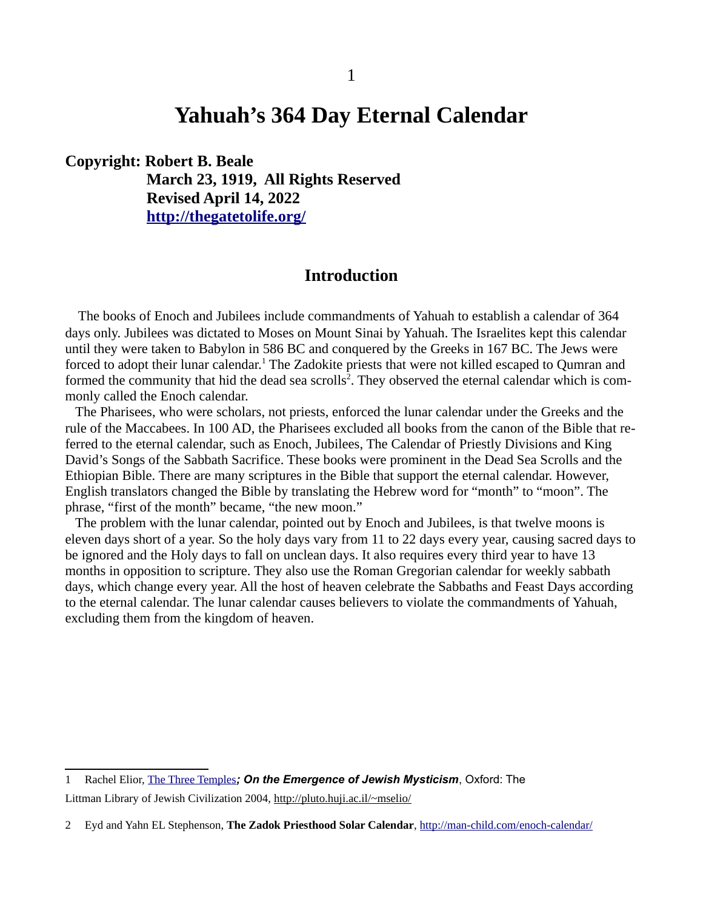# **Yahuah's 364 Day Eternal Calendar**

#### **Copyright: Robert B. Beale**

**March 23, 1919, All Rights Reserved Revised April 14, 2022 <http://thegatetolife.org/>**

# **Introduction**

The books of Enoch and Jubilees include commandments of Yahuah to establish a calendar of 364 days only. Jubilees was dictated to Moses on Mount Sinai by Yahuah. The Israelites kept this calendar until they were taken to Babylon in 586 BC and conquered by the Greeks in 167 BC. The Jews were forced to adopt their lunar calendar.<sup>[1](#page-0-0)</sup> The Zadokite priests that were not killed escaped to Qumran and formed the community that hid the dead sea scrolls<sup>[2](#page-0-1)</sup>. They observed the eternal calendar which is commonly called the Enoch calendar.

 The Pharisees, who were scholars, not priests, enforced the lunar calendar under the Greeks and the rule of the Maccabees. In 100 AD, the Pharisees excluded all books from the canon of the Bible that referred to the eternal calendar, such as Enoch, Jubilees, The Calendar of Priestly Divisions and King David's Songs of the Sabbath Sacrifice. These books were prominent in the Dead Sea Scrolls and the Ethiopian Bible. There are many scriptures in the Bible that support the eternal calendar. However, English translators changed the Bible by translating the Hebrew word for "month" to "moon". The phrase, "first of the month" became, "the new moon."

 The problem with the lunar calendar, pointed out by Enoch and Jubilees, is that twelve moons is eleven days short of a year. So the holy days vary from 11 to 22 days every year, causing sacred days to be ignored and the Holy days to fall on unclean days. It also requires every third year to have 13 months in opposition to scripture. They also use the Roman Gregorian calendar for weekly sabbath days, which change every year. All the host of heaven celebrate the Sabbaths and Feast Days according to the eternal calendar. The lunar calendar causes believers to violate the commandments of Yahuah, excluding them from the kingdom of heaven.

<span id="page-0-0"></span><sup>1</sup> Rachel Elior, [The Three Temples](http://www.littman.co.uk/cat/elior-three.html)*; On the Emergence of Jewish Mysticism*, Oxford: The Littman Library of Jewish Civilization 2004, <http://pluto.huji.ac.il/~mselio/>

<span id="page-0-1"></span><sup>2</sup> Eyd and Yahn EL Stephenson, **The Zadok Priesthood Solar Calendar**, <http://man-child.com/enoch-calendar/>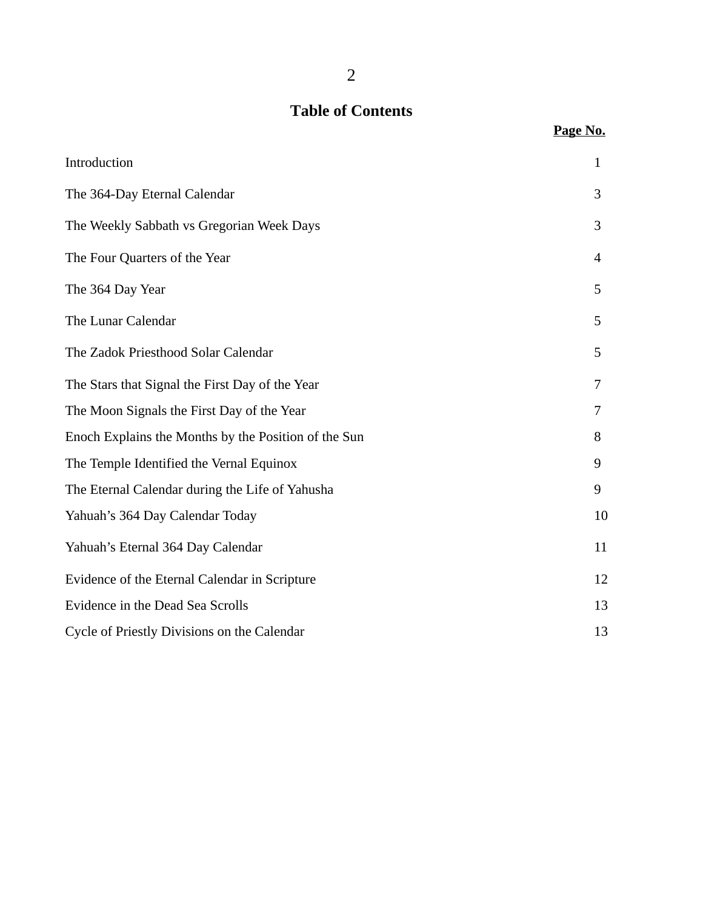# **Table of Contents**

|                                                      | Page No.                 |
|------------------------------------------------------|--------------------------|
| Introduction                                         | $\mathbf{1}$             |
| The 364-Day Eternal Calendar                         | 3                        |
| The Weekly Sabbath vs Gregorian Week Days            | 3                        |
| The Four Quarters of the Year                        | $\overline{\mathcal{A}}$ |
| The 364 Day Year                                     | 5                        |
| The Lunar Calendar                                   | 5                        |
| The Zadok Priesthood Solar Calendar                  | 5                        |
| The Stars that Signal the First Day of the Year      | 7                        |
| The Moon Signals the First Day of the Year           | 7                        |
| Enoch Explains the Months by the Position of the Sun | 8                        |
| The Temple Identified the Vernal Equinox             | 9                        |
| The Eternal Calendar during the Life of Yahusha      | 9                        |
| Yahuah's 364 Day Calendar Today                      | 10                       |
| Yahuah's Eternal 364 Day Calendar                    | 11                       |
| Evidence of the Eternal Calendar in Scripture        | 12                       |
| <b>Evidence in the Dead Sea Scrolls</b>              | 13                       |
| Cycle of Priestly Divisions on the Calendar          | 13                       |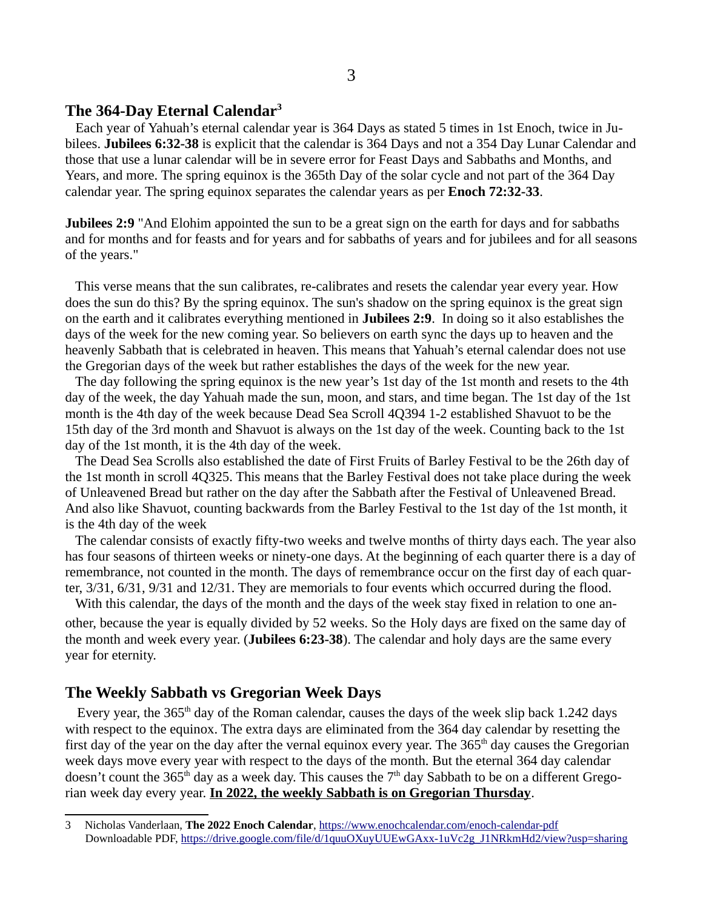#### **The 364-Day Eternal Calendar[3](#page-2-0)**

 Each year of Yahuah's eternal calendar year is 364 Days as stated 5 times in 1st Enoch, twice in Jubilees. **Jubilees 6:32-38** is explicit that the calendar is 364 Days and not a 354 Day Lunar Calendar and those that use a lunar calendar will be in severe error for Feast Days and Sabbaths and Months, and Years, and more. The spring equinox is the 365th Day of the solar cycle and not part of the 364 Day calendar year. The spring equinox separates the calendar years as per **Enoch 72:32-33**.

**Jubilees 2:9** "And Elohim appointed the sun to be a great sign on the earth for days and for sabbaths and for months and for feasts and for years and for sabbaths of years and for jubilees and for all seasons of the years."

 This verse means that the sun calibrates, re-calibrates and resets the calendar year every year. How does the sun do this? By the spring equinox. The sun's shadow on the spring equinox is the great sign on the earth and it calibrates everything mentioned in **Jubilees 2:9**. In doing so it also establishes the days of the week for the new coming year. So believers on earth sync the days up to heaven and the heavenly Sabbath that is celebrated in heaven. This means that Yahuah's eternal calendar does not use the Gregorian days of the week but rather establishes the days of the week for the new year.

 The day following the spring equinox is the new year's 1st day of the 1st month and resets to the 4th day of the week, the day Yahuah made the sun, moon, and stars, and time began. The 1st day of the 1st month is the 4th day of the week because Dead Sea Scroll 4Q394 1-2 established Shavuot to be the 15th day of the 3rd month and Shavuot is always on the 1st day of the week. Counting back to the 1st day of the 1st month, it is the 4th day of the week.

 The Dead Sea Scrolls also established the date of First Fruits of Barley Festival to be the 26th day of the 1st month in scroll 4Q325. This means that the Barley Festival does not take place during the week of Unleavened Bread but rather on the day after the Sabbath after the Festival of Unleavened Bread. And also like Shavuot, counting backwards from the Barley Festival to the 1st day of the 1st month, it is the 4th day of the week

 The calendar consists of exactly fifty-two weeks and twelve months of thirty days each. The year also has four seasons of thirteen weeks or ninety-one days. At the beginning of each quarter there is a day of remembrance, not counted in the month. The days of remembrance occur on the first day of each quarter, 3/31, 6/31, 9/31 and 12/31. They are memorials to four events which occurred during the flood.

 With this calendar, the days of the month and the days of the week stay fixed in relation to one another, because the year is equally divided by 52 weeks. So the Holy days are fixed on the same day of the month and week every year. (**Jubilees 6:23-38**). The calendar and holy days are the same every year for eternity.

### **The Weekly Sabbath vs Gregorian Week Days**

Every year, the  $365<sup>th</sup>$  day of the Roman calendar, causes the days of the week slip back 1.242 days with respect to the equinox. The extra days are eliminated from the 364 day calendar by resetting the first day of the year on the day after the vernal equinox every year. The  $365<sup>th</sup>$  day causes the Gregorian week days move every year with respect to the days of the month. But the eternal 364 day calendar doesn't count the 365<sup>th</sup> day as a week day. This causes the  $7<sup>th</sup>$  day Sabbath to be on a different Gregorian week day every year. **In 2022, the weekly Sabbath is on Gregorian Thursday**.

<span id="page-2-0"></span><sup>3</sup> Nicholas Vanderlaan, **The 2022 Enoch Calendar**, <https://www.enochcalendar.com/enoch-calendar-pdf> Downloadable PDF, [https://drive.google.com/file/d/1quuOXuyUUEwGAxx-1uVc2g\\_J1NRkmHd2/view?usp=sharing](https://drive.google.com/file/d/1quuOXuyUUEwGAxx-1uVc2g_J1NRkmHd2/view?usp=sharing)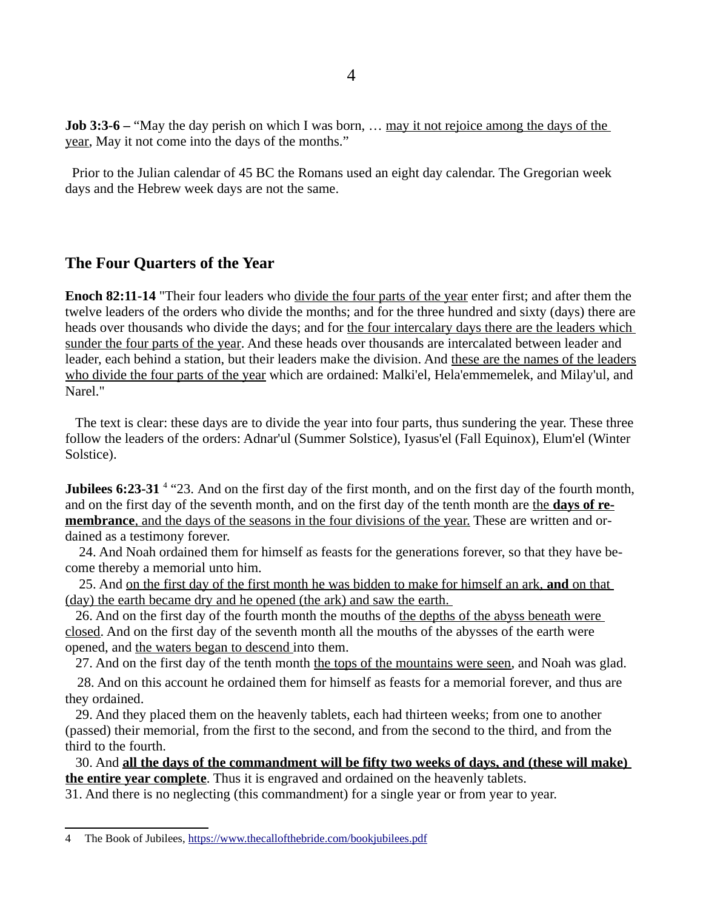**Job 3:3-6** – "May the day perish on which I was born, ... may it not rejoice among the days of the year, May it not come into the days of the months."

 Prior to the Julian calendar of 45 BC the Romans used an eight day calendar. The Gregorian week days and the Hebrew week days are not the same.

#### **The Four Quarters of the Year**

**Enoch 82:11-14** "Their four leaders who divide the four parts of the year enter first; and after them the twelve leaders of the orders who divide the months; and for the three hundred and sixty (days) there are heads over thousands who divide the days; and for the four intercalary days there are the leaders which sunder the four parts of the year. And these heads over thousands are intercalated between leader and leader, each behind a station, but their leaders make the division. And these are the names of the leaders who divide the four parts of the year which are ordained: Malki'el, Hela'emmemelek, and Milay'ul, and Narel."

 The text is clear: these days are to divide the year into four parts, thus sundering the year. These three follow the leaders of the orders: Adnar'ul (Summer Solstice), Iyasus'el (Fall Equinox), Elum'el (Winter Solstice).

Jubilees 6:23-31<sup>[4](#page-3-0)</sup> "23. And on the first day of the first month, and on the first day of the fourth month, and on the first day of the seventh month, and on the first day of the tenth month are the **days of re membrance**, and the days of the seasons in the four divisions of the year. These are written and ordained as a testimony forever.

 24. And Noah ordained them for himself as feasts for the generations forever, so that they have become thereby a memorial unto him.

 25. And on the first day of the first month he was bidden to make for himself an ark, **and** on that (day) the earth became dry and he opened (the ark) and saw the earth.

 26. And on the first day of the fourth month the mouths of the depths of the abyss beneath were closed. And on the first day of the seventh month all the mouths of the abysses of the earth were opened, and the waters began to descend into them.

27. And on the first day of the tenth month the tops of the mountains were seen, and Noah was glad.

 28. And on this account he ordained them for himself as feasts for a memorial forever, and thus are they ordained.

 29. And they placed them on the heavenly tablets, each had thirteen weeks; from one to another (passed) their memorial, from the first to the second, and from the second to the third, and from the third to the fourth.

 30. And **all the days of the commandment will be fifty two weeks of days, and (these will make) the entire year complete**. Thus it is engraved and ordained on the heavenly tablets.

31. And there is no neglecting (this commandment) for a single year or from year to year.

<span id="page-3-0"></span><sup>4</sup> The Book of Jubilees, <https://www.thecallofthebride.com/bookjubilees.pdf>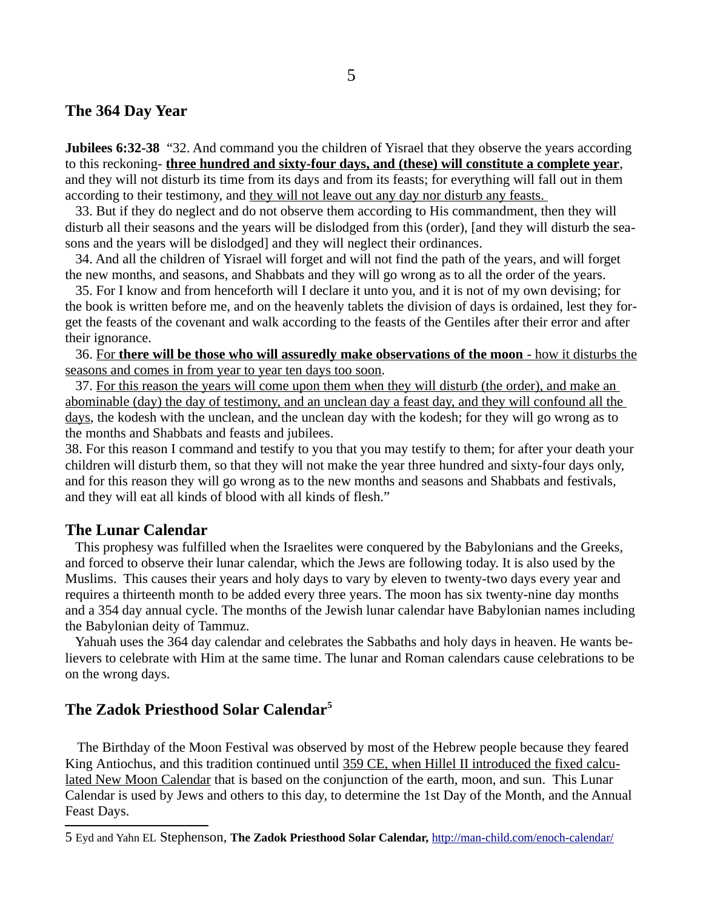#### **The 364 Day Year**

**Jubilees 6:32-38** "32. And command you the children of Yisrael that they observe the years according to this reckoning- **three hundred and sixty-four days, and (these) will constitute a complete year**, and they will not disturb its time from its days and from its feasts; for everything will fall out in them according to their testimony, and they will not leave out any day nor disturb any feasts.

 33. But if they do neglect and do not observe them according to His commandment, then they will disturb all their seasons and the years will be dislodged from this (order), [and they will disturb the seasons and the years will be dislodged] and they will neglect their ordinances.

 34. And all the children of Yisrael will forget and will not find the path of the years, and will forget the new months, and seasons, and Shabbats and they will go wrong as to all the order of the years.

 35. For I know and from henceforth will I declare it unto you, and it is not of my own devising; for the book is written before me, and on the heavenly tablets the division of days is ordained, lest they forget the feasts of the covenant and walk according to the feasts of the Gentiles after their error and after their ignorance.

 36. For **there will be those who will assuredly make observations of the moon** - how it disturbs the seasons and comes in from year to year ten days too soon.

 37. For this reason the years will come upon them when they will disturb (the order), and make an abominable (day) the day of testimony, and an unclean day a feast day, and they will confound all the days, the kodesh with the unclean, and the unclean day with the kodesh; for they will go wrong as to the months and Shabbats and feasts and jubilees.

38. For this reason I command and testify to you that you may testify to them; for after your death your children will disturb them, so that they will not make the year three hundred and sixty-four days only, and for this reason they will go wrong as to the new months and seasons and Shabbats and festivals, and they will eat all kinds of blood with all kinds of flesh."

#### **The Lunar Calendar**

 This prophesy was fulfilled when the Israelites were conquered by the Babylonians and the Greeks, and forced to observe their lunar calendar, which the Jews are following today. It is also used by the Muslims. This causes their years and holy days to vary by eleven to twenty-two days every year and requires a thirteenth month to be added every three years. The moon has six twenty-nine day months and a 354 day annual cycle. The months of the Jewish lunar calendar have Babylonian names including the Babylonian deity of Tammuz.

 Yahuah uses the 364 day calendar and celebrates the Sabbaths and holy days in heaven. He wants believers to celebrate with Him at the same time. The lunar and Roman calendars cause celebrations to be on the wrong days.

## **The Zadok Priesthood Solar Calendar[5](#page-4-0)**

The Birthday of the Moon Festival was observed by most of the Hebrew people because they feared King Antiochus, and this tradition continued until 359 CE, when Hillel II introduced the fixed calculated New Moon Calendar that is based on the conjunction of the earth, moon, and sun. This Lunar Calendar is used by Jews and others to this day, to determine the 1st Day of the Month, and the Annual Feast Days.

<span id="page-4-0"></span><sup>5</sup> Eyd and Yahn EL Stephenson, **The Zadok Priesthood Solar Calendar,** <http://man-child.com/enoch-calendar/>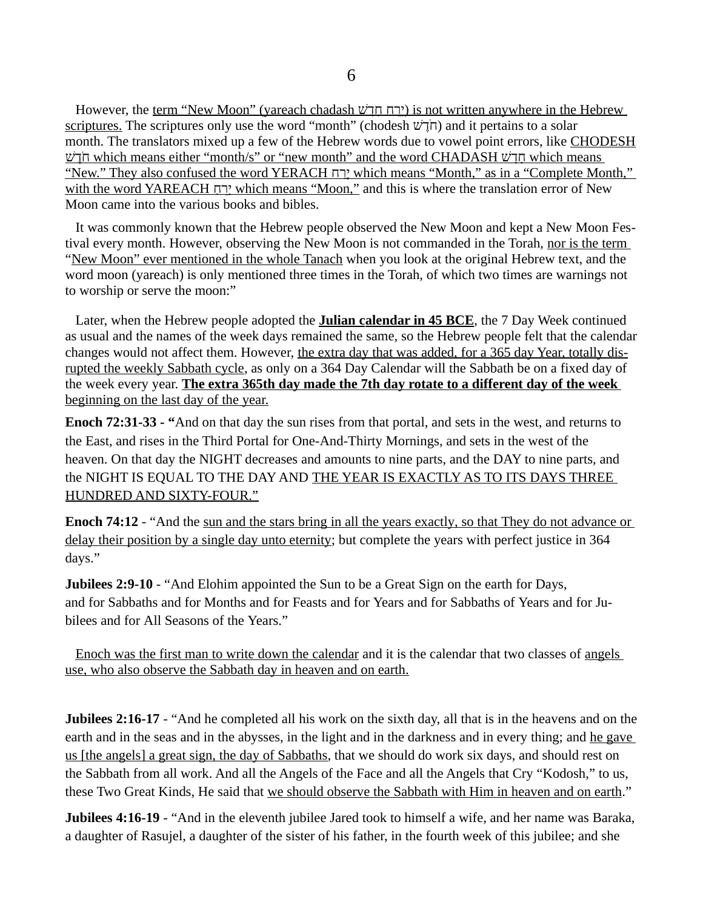However, the term "New Moon" (yareach chadash ירח חדש) is not written anywhere in the Hebrew scriptures. The scriptures only use the word "month" (chodesh  $\psi$ הֹלָל) and it pertains to a solar month. The translators mixed up a few of the Hebrew words due to vowel point errors, like CHODESH יִה which means either "month/s" or "new month" and the word CHADASH חֲדָשׁ which means "New." They also confused the word YERACH ח ַירֶ which means "Month," as in a "Complete Month," with the word YAREACH ַח ֵרָי which means "Moon," and this is where the translation error of New Moon came into the various books and bibles.

 It was commonly known that the Hebrew people observed the New Moon and kept a New Moon Festival every month. However, observing the New Moon is not commanded in the Torah, nor is the term "New Moon" ever mentioned in the whole Tanach when you look at the original Hebrew text, and the word moon (yareach) is only mentioned three times in the Torah, of which two times are warnings not to worship or serve the moon:"

Later, when the Hebrew people adopted the **Julian calendar in 45 BCE**, the 7 Day Week continued as usual and the names of the week days remained the same, so the Hebrew people felt that the calendar changes would not affect them. However, the extra day that was added, for a 365 day Year, totally disrupted the weekly Sabbath cycle, as only on a 364 Day Calendar will the Sabbath be on a fixed day of the week every year. **The extra 365th day made the 7th day rotate to a different day of the week** beginning on the last day of the year.

**Enoch 72:31-33 - "**And on that day the sun rises from that portal, and sets in the west, and returns to the East, and rises in the Third Portal for One-And-Thirty Mornings, and sets in the west of the heaven. On that day the NIGHT decreases and amounts to nine parts, and the DAY to nine parts, and the NIGHT IS EQUAL TO THE DAY AND THE YEAR IS EXACTLY AS TO ITS DAYS THREE HUNDRED AND SIXTY-FOUR."

**Enoch 74:12** - "And the sun and the stars bring in all the years exactly, so that They do not advance or delay their position by a single day unto eternity; but complete the years with perfect justice in 364 days."

**Jubilees 2:9-10** - "And Elohim appointed the Sun to be a Great Sign on the earth for Days, and for Sabbaths and for Months and for Feasts and for Years and for Sabbaths of Years and for Jubilees and for All Seasons of the Years."

Enoch was the first man to write down the calendar and it is the calendar that two classes of angels use, who also observe the Sabbath day in heaven and on earth.

**Jubilees 2:16-17** - "And he completed all his work on the sixth day, all that is in the heavens and on the earth and in the seas and in the abysses, in the light and in the darkness and in every thing; and he gave us [the angels] a great sign, the day of Sabbaths, that we should do work six days, and should rest on the Sabbath from all work. And all the Angels of the Face and all the Angels that Cry "Kodosh," to us, these Two Great Kinds, He said that we should observe the Sabbath with Him in heaven and on earth."

**Jubilees 4:16-19** - "And in the eleventh jubilee Jared took to himself a wife, and her name was Baraka, a daughter of Rasujel, a daughter of the sister of his father, in the fourth week of this jubilee; and she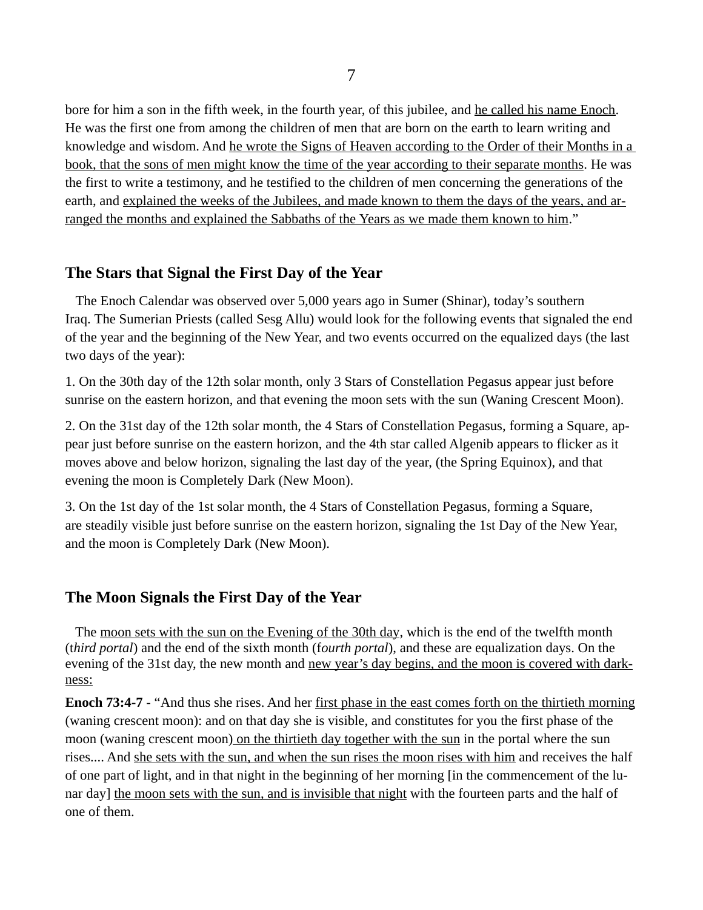bore for him a son in the fifth week, in the fourth year, of this jubilee, and he called his name Enoch. He was the first one from among the children of men that are born on the earth to learn writing and knowledge and wisdom. And he wrote the Signs of Heaven according to the Order of their Months in a book, that the sons of men might know the time of the year according to their separate months. He was the first to write a testimony, and he testified to the children of men concerning the generations of the earth, and explained the weeks of the Jubilees, and made known to them the days of the years, and arranged the months and explained the Sabbaths of the Years as we made them known to him."

## **The Stars that Signal the First Day of the Year**

The Enoch Calendar was observed over 5,000 years ago in Sumer (Shinar), today's southern Iraq. The Sumerian Priests (called Sesg Allu) would look for the following events that signaled the end of the year and the beginning of the New Year, and two events occurred on the equalized days (the last two days of the year):

1. On the 30th day of the 12th solar month, only 3 Stars of Constellation Pegasus appear just before sunrise on the eastern horizon, and that evening the moon sets with the sun (Waning Crescent Moon).

2. On the 31st day of the 12th solar month, the 4 Stars of Constellation Pegasus, forming a Square, appear just before sunrise on the eastern horizon, and the 4th star called Algenib appears to flicker as it moves above and below horizon, signaling the last day of the year, (the Spring Equinox), and that evening the moon is Completely Dark (New Moon).

3. On the 1st day of the 1st solar month, the 4 Stars of Constellation Pegasus, forming a Square, are steadily visible just before sunrise on the eastern horizon, signaling the 1st Day of the New Year, and the moon is Completely Dark (New Moon).

### **The Moon Signals the First Day of the Year**

The moon sets with the sun on the Evening of the 30th day, which is the end of the twelfth month (t*hird portal*) and the end of the sixth month (f*ourth portal*), and these are equalization days. On the evening of the 31st day, the new month and new year's day begins, and the moon is covered with darkness:

**Enoch 73:4-7 - "And thus she rises. And her first phase in the east comes forth on the thirtieth morning** (waning crescent moon): and on that day she is visible, and constitutes for you the first phase of the moon (waning crescent moon) on the thirtieth day together with the sun in the portal where the sun rises.... And she sets with the sun, and when the sun rises the moon rises with him and receives the half of one part of light, and in that night in the beginning of her morning [in the commencement of the lunar day] the moon sets with the sun, and is invisible that night with the fourteen parts and the half of one of them.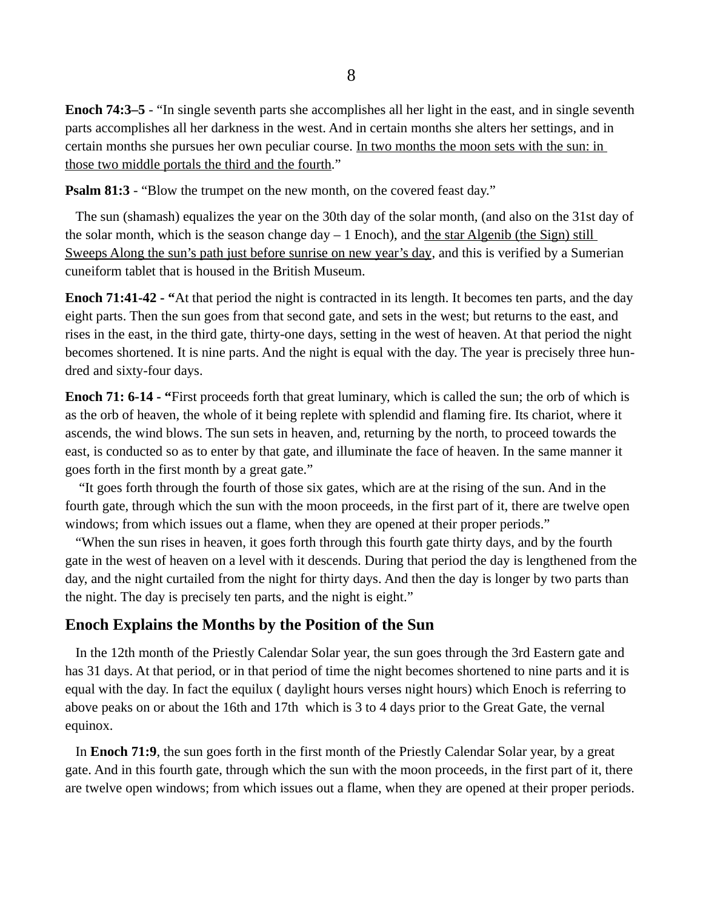**Enoch 74:3–5** - "In single seventh parts she accomplishes all her light in the east, and in single seventh parts accomplishes all her darkness in the west. And in certain months she alters her settings, and in certain months she pursues her own peculiar course. In two months the moon sets with the sun: in those two middle portals the third and the fourth."

**Psalm 81:3** - "Blow the trumpet on the new month, on the covered feast day."

 The sun (shamash) equalizes the year on the 30th day of the solar month, (and also on the 31st day of the solar month, which is the season change  $day - 1$  Enoch), and the star Algenib (the Sign) still Sweeps Along the sun's path just before sunrise on new year's day, and this is verified by a Sumerian cuneiform tablet that is housed in the British Museum.

**Enoch 71:41-42 - "**At that period the night is contracted in its length. It becomes ten parts, and the day eight parts. Then the sun goes from that second gate, and sets in the west; but returns to the east, and rises in the east, in the third gate, thirty-one days, setting in the west of heaven. At that period the night becomes shortened. It is nine parts. And the night is equal with the day. The year is precisely three hundred and sixty-four days.

**Enoch 71: 6-14 - "**First proceeds forth that great luminary, which is called the sun; the orb of which is as the orb of heaven, the whole of it being replete with splendid and flaming fire. Its chariot, where it ascends, the wind blows. The sun sets in heaven, and, returning by the north, to proceed towards the east, is conducted so as to enter by that gate, and illuminate the face of heaven. In the same manner it goes forth in the first month by a great gate."

 "It goes forth through the fourth of those six gates, which are at the rising of the sun. And in the fourth gate, through which the sun with the moon proceeds, in the first part of it, there are twelve open windows; from which issues out a flame, when they are opened at their proper periods."

 "When the sun rises in heaven, it goes forth through this fourth gate thirty days, and by the fourth gate in the west of heaven on a level with it descends. During that period the day is lengthened from the day, and the night curtailed from the night for thirty days. And then the day is longer by two parts than the night. The day is precisely ten parts, and the night is eight."

# **Enoch Explains the Months by the Position of the Sun**

 In the 12th month of the Priestly Calendar Solar year, the sun goes through the 3rd Eastern gate and has 31 days. At that period, or in that period of time the night becomes shortened to nine parts and it is equal with the day. In fact the equilux ( daylight hours verses night hours) which Enoch is referring to above peaks on or about the 16th and 17th which is 3 to 4 days prior to the Great Gate, the vernal equinox.

 In **Enoch 71:9**, the sun goes forth in the first month of the Priestly Calendar Solar year, by a great gate. And in this fourth gate, through which the sun with the moon proceeds, in the first part of it, there are twelve open windows; from which issues out a flame, when they are opened at their proper periods.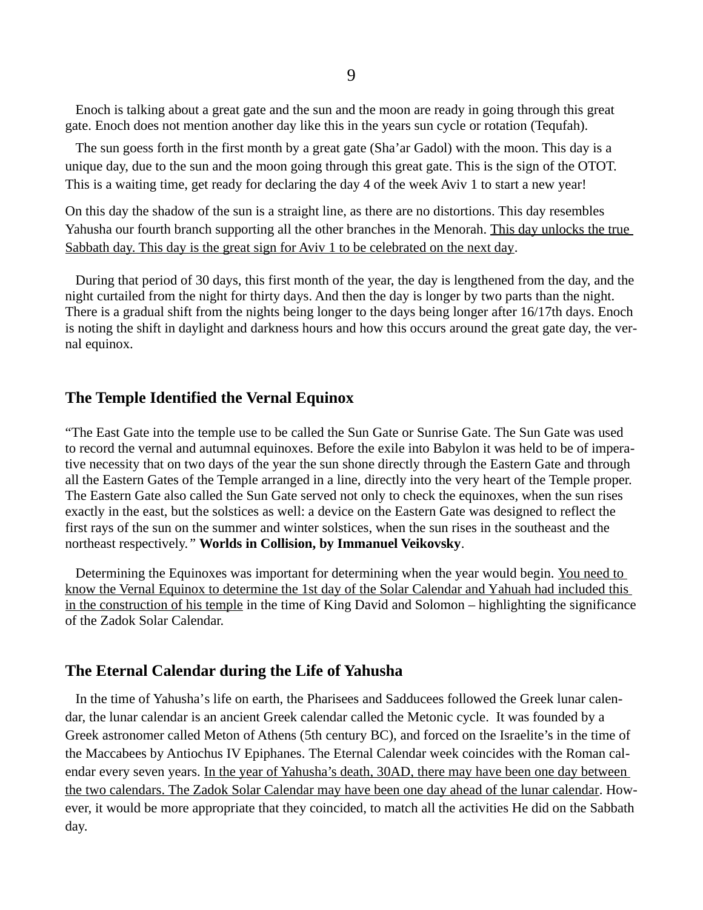Enoch is talking about a great gate and the sun and the moon are ready in going through this great gate. Enoch does not mention another day like this in the years sun cycle or rotation (Tequfah).

 The sun goess forth in the first month by a great gate (Sha'ar Gadol) with the moon. This day is a unique day, due to the sun and the moon going through this great gate. This is the sign of the OTOT. This is a waiting time, get ready for declaring the day 4 of the week Aviv 1 to start a new year!

On this day the shadow of the sun is a straight line, as there are no distortions. This day resembles Yahusha our fourth branch supporting all the other branches in the Menorah. This day unlocks the true Sabbath day. This day is the great sign for Aviv 1 to be celebrated on the next day.

 During that period of 30 days, this first month of the year, the day is lengthened from the day, and the night curtailed from the night for thirty days. And then the day is longer by two parts than the night. There is a gradual shift from the nights being longer to the days being longer after 16/17th days. Enoch is noting the shift in daylight and darkness hours and how this occurs around the great gate day, the vernal equinox.

## **The Temple Identified the Vernal Equinox**

"The East Gate into the temple use to be called the Sun Gate or Sunrise Gate. The Sun Gate was used to record the vernal and autumnal equinoxes. Before the exile into Babylon it was held to be of imperative necessity that on two days of the year the sun shone directly through the Eastern Gate and through all the Eastern Gates of the Temple arranged in a line, directly into the very heart of the Temple proper. The Eastern Gate also called the Sun Gate served not only to check the equinoxes, when the sun rises exactly in the east, but the solstices as well: a device on the Eastern Gate was designed to reflect the first rays of the sun on the summer and winter solstices, when the sun rises in the southeast and the northeast respectively.*"* **Worlds in Collision, by Immanuel Veikovsky**.

 Determining the Equinoxes was important for determining when the year would begin. You need to know the Vernal Equinox to determine the 1st day of the Solar Calendar and Y ahuah had included this in the construction of his temple in the time of King David and Solomon – highlighting the significance of the Zadok Solar Calendar.

### **The Eternal Calendar during the Life of Yahusha**

 In the time of Yahusha's life on earth, the Pharisees and Sadducees followed the Greek lunar calendar, the lunar calendar is an ancient Greek calendar called the Metonic cycle. It was founded by a Greek astronomer called Meton of Athens (5th century BC), and forced on the Israelite's in the time of the Maccabees by Antiochus IV Epiphanes. The Eternal Calendar week coincides with the Roman calendar every seven years. In the year of Yahusha's death, 30AD, there may have been one day between the two calendars. The Zadok Solar Calendar may have been one day ahead of the lunar calendar. However, it would be more appropriate that they coincided, to match all the activities He did on the Sabbath day.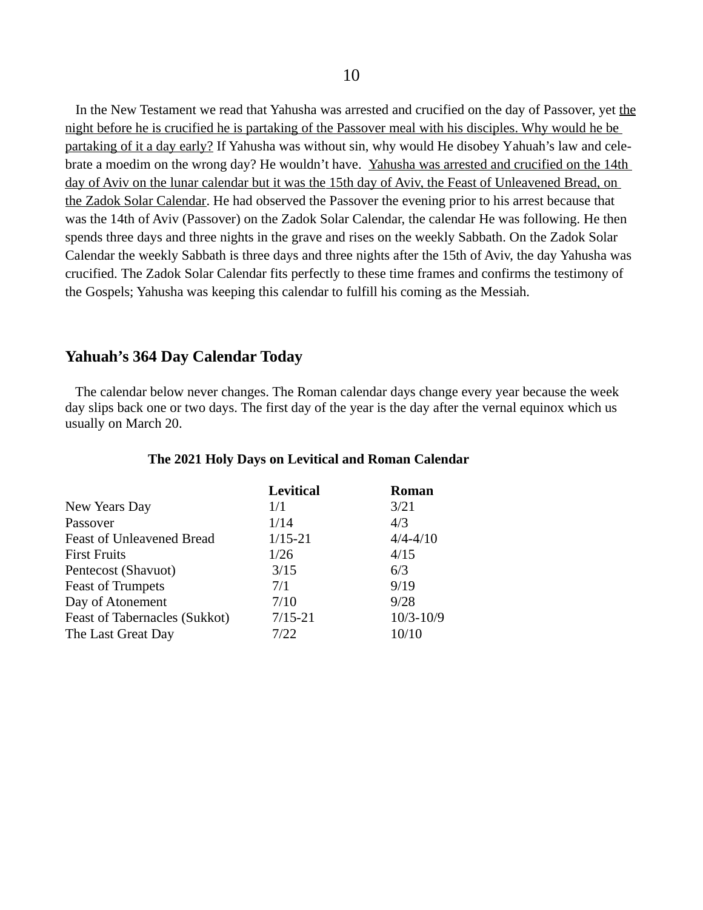In the New Testament we read that Yahusha was arrested and crucified on the day of Passover, yet the night before he is crucified he is partaking of the Passover meal with his disciples. Why would he be partaking of it a day early? If Yahusha was without sin, why would He disobey Yahuah's law and celebrate a moedim on the wrong day? He wouldn't have. Yahusha was arrested and crucified on the 14th day of Aviv on the lunar calendar but it was the 15th day of Aviv, the Feast of Unleavened Bread, on the Zadok Solar Calendar. He had observed the Passover the evening prior to his arrest because that was the 14th of Aviv (Passover) on the Zadok Solar Calendar, the calendar He was following. He then spends three days and three nights in the grave and rises on the weekly Sabbath. On the Zadok Solar Calendar the weekly Sabbath is three days and three nights after the 15th of Aviv, the day Yahusha was crucified. The Zadok Solar Calendar fits perfectly to these time frames and confirms the testimony of the Gospels; Yahusha was keeping this calendar to fulfill his coming as the Messiah.

#### **Yahuah's 364 Day Calendar Today**

 The calendar below never changes. The Roman calendar days change every year because the week day slips back one or two days. The first day of the year is the day after the vernal equinox which us usually on March 20.

|                                  | <b>Levitical</b> | <b>Roman</b>  |
|----------------------------------|------------------|---------------|
| New Years Day                    | 1/1              | 3/21          |
| Passover                         | 1/14             | 4/3           |
| <b>Feast of Unleavened Bread</b> | $1/15 - 21$      | $4/4 - 4/10$  |
| <b>First Fruits</b>              | 1/26             | 4/15          |
| Pentecost (Shavuot)              | 3/15             | 6/3           |
| <b>Feast of Trumpets</b>         | 7/1              | 9/19          |
| Day of Atonement                 | 7/10             | 9/28          |
| Feast of Tabernacles (Sukkot)    | $7/15 - 21$      | $10/3 - 10/9$ |
| The Last Great Day               | 7/22             | 10/10         |

#### **The 2021 Holy Days on Levitical and Roman Calendar**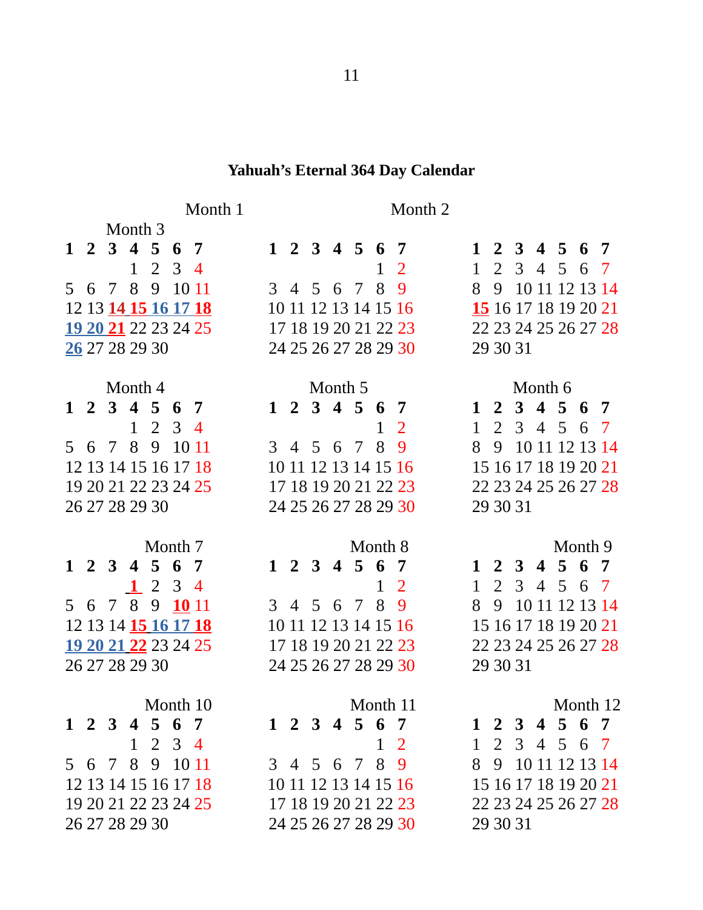### **Yahuah's Eternal 364 Day Calendar**

# Month 1 Month 2

|  | <b>UNIOTICITY</b>    |              |                |            |                      |                      |               |  |              |                      |              |          |                      |  |         |                      |
|--|----------------------|--------------|----------------|------------|----------------------|----------------------|---------------|--|--------------|----------------------|--------------|----------|----------------------|--|---------|----------------------|
|  | 1 2 3 4 5 6 7        |              |                |            |                      |                      | 1 2 3 4 5 6 7 |  |              |                      |              |          | 1 2 3 4 5 6 7        |  |         |                      |
|  |                      | $\mathbf{1}$ | $\overline{2}$ | $3\quad 4$ |                      |                      |               |  | $\mathbf{1}$ | $\overline{2}$       | 1            |          | 2 3 4 5 6 7          |  |         |                      |
|  | 5 6 7 8 9            |              |                | 10 11      |                      |                      | 3 4 5 6 7 8   |  |              | 9                    |              |          | 8 9 10 11 12 13 14   |  |         |                      |
|  | 12 13 14 15 16 17 18 |              |                |            |                      | 10 11 12 13 14 15 16 |               |  |              |                      |              |          | 15 16 17 18 19 20 21 |  |         |                      |
|  | 19 20 21 22 23 24 25 |              |                |            |                      |                      |               |  |              | 17 18 19 20 21 22 23 |              |          |                      |  |         | 22 23 24 25 26 27 28 |
|  | 26 27 28 29 30       |              |                |            |                      |                      |               |  |              | 24 25 26 27 28 29 30 |              |          | 29 30 31             |  |         |                      |
|  |                      |              |                |            |                      |                      |               |  |              |                      |              |          |                      |  |         |                      |
|  | Month 4              |              |                |            |                      |                      | Month 5       |  |              |                      |              |          | Month 6              |  |         |                      |
|  | 1 2 3 4 5 6 7        |              |                |            |                      |                      | 1 2 3 4 5 6 7 |  |              |                      |              |          | 1 2 3 4 5 6 7        |  |         |                      |
|  |                      | $\mathbf{1}$ | $2 \t3 \t4$    |            |                      |                      |               |  | $\mathbf{1}$ | 2                    | $\mathbf{1}$ |          | 2 3 4 5 6 7          |  |         |                      |
|  | 5 6 7 8 9 10 11      |              |                |            |                      |                      | 3 4 5 6 7 8   |  |              | 9                    | 89           |          | 10 11 12 13 14       |  |         |                      |
|  | 12 13 14 15 16 17 18 |              |                |            |                      | 10 11 12 13 14 15 16 |               |  |              |                      |              |          | 15 16 17 18 19 20 21 |  |         |                      |
|  | 19 20 21 22 23 24 25 |              |                |            |                      |                      |               |  |              | 17 18 19 20 21 22 23 |              |          |                      |  |         | 22 23 24 25 26 27 28 |
|  | 26 27 28 29 30       |              |                |            |                      |                      |               |  |              | 24 25 26 27 28 29 30 |              |          | 29 30 31             |  |         |                      |
|  |                      |              |                |            |                      |                      |               |  |              |                      |              |          |                      |  |         |                      |
|  |                      |              | Month 7        |            |                      |                      |               |  | Month 8      |                      |              |          |                      |  | Month 9 |                      |
|  | 1 2 3 4 5 6 7        |              |                |            |                      |                      | 1 2 3 4 5 6 7 |  |              |                      |              |          | 1 2 3 4 5 6 7        |  |         |                      |
|  |                      |              | 1234           |            |                      |                      |               |  | $1\quad 2$   |                      | 1            |          | 2 3 4 5 6 7          |  |         |                      |
|  | 5 6 7 8 9 10 11      |              |                |            |                      |                      | 3 4 5 6 7 8 9 |  |              |                      |              |          | 8 9 10 11 12 13 14   |  |         |                      |
|  |                      |              |                |            | 12 13 14 15 16 17 18 | 10 11 12 13 14 15 16 |               |  |              |                      |              |          |                      |  |         | 15 16 17 18 19 20 21 |
|  |                      |              |                |            | 19 20 21 22 23 24 25 |                      |               |  |              | 17 18 19 20 21 22 23 |              |          |                      |  |         | 22 23 24 25 26 27 28 |
|  | 26 27 28 29 30       |              |                |            |                      |                      |               |  |              | 24 25 26 27 28 29 30 |              |          | 29 30 31             |  |         |                      |
|  |                      |              |                |            |                      |                      |               |  |              |                      |              |          |                      |  |         |                      |
|  |                      |              | Month 10       |            |                      |                      |               |  |              | Month 11             |              |          |                      |  |         | Month 12             |
|  | 1 2 3 4 5 6 7        |              |                |            |                      |                      | 1 2 3 4 5 6 7 |  |              |                      |              |          | 1 2 3 4 5 6 7        |  |         |                      |
|  |                      | $\mathbf{1}$ | 2              | $3\quad 4$ |                      |                      |               |  | $\mathbf{1}$ | $\overline{2}$       | $\mathbf{1}$ | 2        | 3 4 5                |  | 6 7     |                      |
|  | 5 6 7 8 9 10 11      |              |                |            |                      |                      | 3 4 5 6 7 8   |  |              | 9                    | 8            | 9        | 10 11 12 13 14       |  |         |                      |
|  | 12 13 14 15 16 17 18 |              |                |            |                      |                      |               |  |              | 10 11 12 13 14 15 16 |              |          |                      |  |         | 15 16 17 18 19 20 21 |
|  | 19 20 21 22 23 24 25 |              |                |            |                      |                      |               |  |              | 17 18 19 20 21 22 23 |              |          |                      |  |         | 22 23 24 25 26 27 28 |
|  | 26 27 28 29 30       |              |                |            |                      |                      |               |  |              | 24 25 26 27 28 29 30 |              | 29 30 31 |                      |  |         |                      |

|          |  | Month 9                                 |  |
|----------|--|-----------------------------------------|--|
|          |  | $1\;\; 2\;\; 3\;\; 4\;\; 5\;\; 6\;\; 7$ |  |
|          |  | 1 2 3 4 5 6 7                           |  |
|          |  | 3 9 10 11 12 13 14                      |  |
|          |  |                                         |  |
|          |  | 22 23 24 25 26 27 <mark>28</mark>       |  |
| 29 30 31 |  |                                         |  |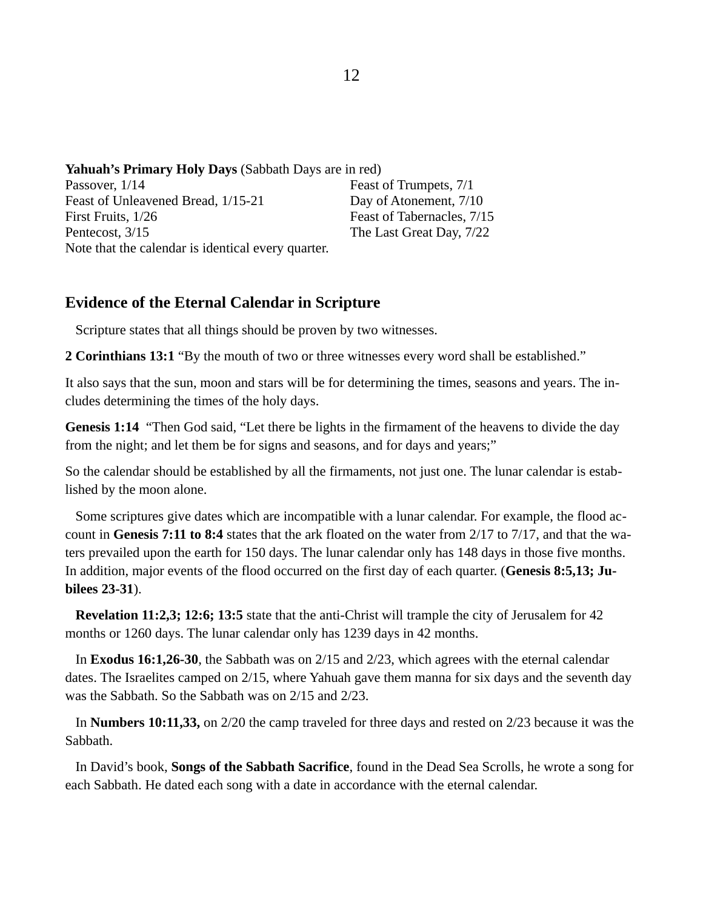**Yahuah's Primary Holy Days** (Sabbath Days are in red)

| Passover, 1/14                                     | Feast of Trumpets, 7/1     |
|----------------------------------------------------|----------------------------|
| Feast of Unleavened Bread, 1/15-21                 | Day of Atonement, 7/10     |
| First Fruits, 1/26                                 | Feast of Tabernacles, 7/15 |
| Pentecost, 3/15                                    | The Last Great Day, 7/22   |
| Note that the calendar is identical every quarter. |                            |

# **Evidence of the Eternal Calendar in Scripture**

Scripture states that all things should be proven by two witnesses.

**2 Corinthians 13:1** "By the mouth of two or three witnesses every word shall be established."

It also says that the sun, moon and stars will be for determining the times, seasons and years. The includes determining the times of the holy days.

**Genesis 1:14** "Then God said, "Let there be lights in the firmament of the heavens to divide the day from the night; and let them be for signs and seasons, and for days and years;"

So the calendar should be established by all the firmaments, not just one. The lunar calendar is established by the moon alone.

 Some scriptures give dates which are incompatible with a lunar calendar. For example, the flood account in **Genesis 7:11 to 8:4** states that the ark floated on the water from 2/17 to 7/17, and that the waters prevailed upon the earth for 150 days. The lunar calendar only has 148 days in those five months. In addition, major events of the flood occurred on the first day of each quarter. (**Genesis 8:5,13; Jubilees 23-31**).

 **Revelation 11:2,3; 12:6; 13:5** state that the anti-Christ will trample the city of Jerusalem for 42 months or 1260 days. The lunar calendar only has 1239 days in 42 months.

 In **Exodus 16:1,26-30**, the Sabbath was on 2/15 and 2/23, which agrees with the eternal calendar dates. The Israelites camped on 2/15, where Yahuah gave them manna for six days and the seventh day was the Sabbath. So the Sabbath was on 2/15 and 2/23.

 In **Numbers 10:11,33,** on 2/20 the camp traveled for three days and rested on 2/23 because it was the Sabbath.

 In David's book, **Songs of the Sabbath Sacrifice**, found in the Dead Sea Scrolls, he wrote a song for each Sabbath. He dated each song with a date in accordance with the eternal calendar.